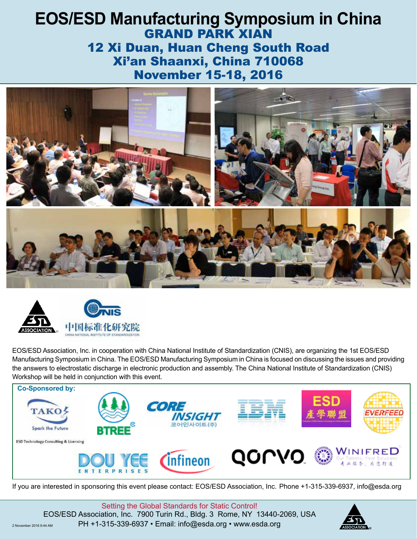# **EOS/ESD Manufacturing Symposium in China** GRAND PARK XIAN 12 Xi Duan, Huan Cheng South Road Xi'an Shaanxi, China 710068 November 15-18, 2016





EOS/ESD Association, Inc. in cooperation with China National Institute of Standardization (CNIS), are organizing the 1st EOS/ESD Manufacturing Symposium in China. The EOS/ESD Manufacturing Symposium in China is focused on discussing the issues and providing the answers to electrostatic discharge in electronic production and assembly. The China National Institute of Standardization (CNIS) Workshop will be held in conjunction with this event.



If you are interested in sponsoring this event please contact: EOS/ESD Association, Inc. Phone +1-315-339-6937, info@esda.org

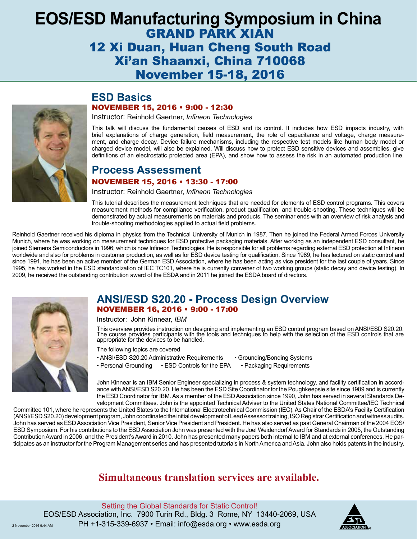# **EOS/ESD Manufacturing Symposium in China** GRAND PARK XIAN 12 Xi Duan, Huan Cheng South Road Xi'an Shaanxi, China 710068 November 15-18, 2016



# **ESD Basics** NOVEMBER 15, 2016 • 9:00 - 12:30

Instructor: Reinhold Gaertner, *Infineon Technologies*

This talk will discuss the fundamental causes of ESD and its control. It includes how ESD impacts industry, with brief explanations of charge generation, field measurement, the role of capacitance and voltage, charge measurement, and charge decay. Device failure mechanisms, including the respective test models like human body model or charged device model, will also be explained. Will discuss how to protect ESD sensitive devices and assemblies, give definitions of an electrostatic protected area (EPA), and show how to assess the risk in an automated production line.

# **Process Assessment**

## NOVEMBER 15, 2016 • 13:30 - 17:00

Instructor: Reinhold Gaertner, *Infineon Technologies*

This tutorial describes the measurement techniques that are needed for elements of ESD control programs. This covers measurement methods for compliance verification, product qualification, and trouble-shooting. These techniques will be demonstrated by actual measurements on materials and products. The seminar ends with an overview of risk analysis and trouble-shooting methodologies applied to actual field problems.

Reinhold Gaertner received his diploma in physics from the Technical University of Munich in 1987. Then he joined the Federal Armed Forces University Munich, where he was working on measurement techniques for ESD protective packaging materials. After working as an independent ESD consultant, he joined Siemens Semiconductors in 1996; which is now Infineon Technologies. He is responsible for all problems regarding external ESD protection at Infineon worldwide and also for problems in customer production, as well as for ESD device testing for qualification. Since 1989, he has lectured on static control and since 1991, he has been an active member of the German ESD Association, where he has been acting as vice president for the last couple of years. Since 1995, he has worked in the ESD standardization of IEC TC101, where he is currently convener of two working groups (static decay and device testing). In 2009, he received the outstanding contribution award of the ESDA and in 2011 he joined the ESDA board of directors.



# **ANSI/ESD S20.20 - Process Design Overview**  NOVEMBER 16, 2016 • 9:00 - 17:00

Instructor: John Kinnear, *IBM*

This overview provides instruction on designing and implementing an ESD control program based on ANSI/ESD S20.20. The course provides participants with the tools and techniques to help with the selection of the ESD controls that are appropriate for the devices to be handled.

The following topics are covered

- ANSI/ESD S20.20 Administrative Requirements Grounding/Bonding Systems
- Personal Grounding ESD Controls for the EPA Packaging Requirements

John Kinnear is an IBM Senior Engineer specializing in process & system technology, and facility certification in accordance with ANSI/ESD S20.20. He has been the ESD Site Coordinator for the Poughkeepsie site since 1989 and is currently the ESD Coordinator for IBM. As a member of the ESD Association since 1990, John has served in several Standards Development Committees. John is the appointed Technical Adviser to the United States National Committee/IEC Technical

Committee 101, where he represents the United States to the International Electrotechnical Commission (IEC). As Chair of the ESDA's Facility Certification (ANSI/ESD S20.20) development program, John coordinated the initial development of Lead Assessor training, ISO Registrar Certification and witness audits. John has served as ESD Association Vice President, Senior Vice President and President. He has also served as past General Chairman of the 2004 EOS/ ESD Symposium. For his contributions to the ESD Association John was presented with the Joel Weidendorf Award for Standards in 2005, the Outstanding Contribution Award in 2006, and the President's Award in 2010. John has presented many papers both internal to IBM and at external conferences. He participates as an instructor for the Program Management series and has presented tutorials in North America and Asia. John also holds patents in the industry.

# **Simultaneous translation services are available.**

Setting the Global Standards for Static Control! EOS/ESD Association, Inc. 7900 Turin Rd., Bldg. 3 Rome, NY 13440-2069, USA 2 November 2016 9:44 AM PH +1-315-339-6937 • Email: info@esda.org • www.esda.org

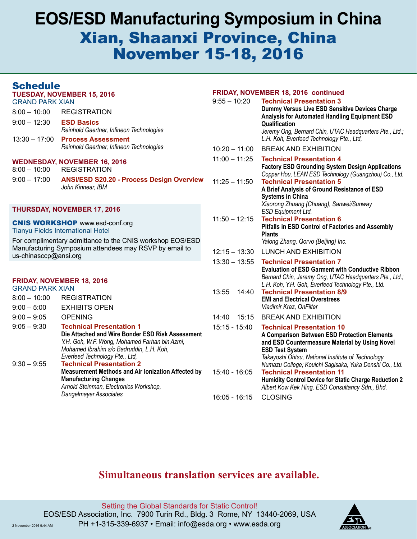# **EOS/ESD Manufacturing Symposium in China** Xian, Shaanxi Province, China November 15-18, 2016

# Schedule

| <b>VVIIVWHV</b><br><b>TUESDAY, NOVEMBER 15, 2016</b><br><b>GRAND PARK XIAN</b>    |                                                                                                                                                                                                                    | FRIDAY, NOVEMBER 18, 2016 continued |                                                                                                                                                                                                                   |
|-----------------------------------------------------------------------------------|--------------------------------------------------------------------------------------------------------------------------------------------------------------------------------------------------------------------|-------------------------------------|-------------------------------------------------------------------------------------------------------------------------------------------------------------------------------------------------------------------|
|                                                                                   |                                                                                                                                                                                                                    | $9:55 - 10:20$                      | <b>Technical Presentation 3</b>                                                                                                                                                                                   |
| $8:00 - 10:00$                                                                    | <b>REGISTRATION</b>                                                                                                                                                                                                |                                     | Dummy Versus Live ESD Sensitive Devices Charge<br>Analysis for Automated Handling Equipment ESD                                                                                                                   |
| $9:00 - 12:30$                                                                    | <b>ESD Basics</b><br>Reinhold Gaertner, Infineon Technologies                                                                                                                                                      |                                     | Qualification<br>Jeremy Ong, Bernard Chin, UTAC Headquarters Pte., Ltd.;                                                                                                                                          |
| $13:30 - 17:00$                                                                   | <b>Process Assessment</b>                                                                                                                                                                                          |                                     | L.H. Koh, Everfeed Technology Pte., Ltd,                                                                                                                                                                          |
|                                                                                   | Reinhold Gaertner, Infineon Technologies                                                                                                                                                                           | $10:20 - 11:00$                     | <b>BREAK AND EXHIBITION</b>                                                                                                                                                                                       |
| <b>WEDNESDAY, NOVEMBER 16, 2016</b><br><b>REGISTRATION</b><br>$8:00 - 10:00$      |                                                                                                                                                                                                                    | $11:00 - 11:25$                     | <b>Technical Presentation 4</b><br><b>Factory ESD Grounding System Design Applications</b>                                                                                                                        |
| $9:00 - 17:00$                                                                    | <b>ANSI/ESD S20.20 - Process Design Overview</b><br>John Kinnear, IBM                                                                                                                                              | $11:25 - 11:50$                     | Copper Hou, LEAN ESD Technology (Guangzhou) Co., Ltd.<br><b>Technical Presentation 5</b><br>A Brief Analysis of Ground Resistance of ESD<br><b>Systems in China</b><br>Xiaorong Zhuang (Chuang), Sanwei/Sunway    |
| <b>THURSDAY, NOVEMBER 17, 2016</b>                                                |                                                                                                                                                                                                                    |                                     | <b>ESD Equipment Ltd.</b>                                                                                                                                                                                         |
| <b>CNIS WORKSHOP www.esd-conf.org</b><br><b>Tianyu Fields International Hotel</b> |                                                                                                                                                                                                                    | $11:50 - 12:15$                     | <b>Technical Presentation 6</b><br>Pitfalls in ESD Control of Factories and Assembly<br><b>Plants</b>                                                                                                             |
| For complimentary admittance to the CNIS workshop EOS/ESD                         |                                                                                                                                                                                                                    |                                     | Yalong Zhang, Qorvo (Beijing) Inc.                                                                                                                                                                                |
| Manufacturing Symposium attendees may RSVP by email to<br>us-chinasccp@ansi.org   |                                                                                                                                                                                                                    | $12:15 - 13:30$                     | <b>LUNCH AND EXHIBITION</b>                                                                                                                                                                                       |
|                                                                                   |                                                                                                                                                                                                                    | $13:30 - 13:55$                     | <b>Technical Presentation 7</b><br><b>Evaluation of ESD Garment with Conductive Ribbon</b><br>Bernard Chin, Jeremy Ong, UTAC Headquarters Pte., Ltd.;                                                             |
| FRIDAY, NOVEMBER 18, 2016                                                         |                                                                                                                                                                                                                    |                                     | L.H. Koh, Y.H. Goh, Everfeed Technology Pte., Ltd.                                                                                                                                                                |
| <b>GRAND PARK XIAN</b><br>$8:00 - 10:00$<br><b>REGISTRATION</b>                   |                                                                                                                                                                                                                    | 13:55<br>14:40                      | <b>Technical Presentation 8/9</b>                                                                                                                                                                                 |
| $9:00 - 5:00$                                                                     | <b>EXHIBITS OPEN</b>                                                                                                                                                                                               |                                     | <b>EMI and Electrical Overstress</b><br>Vladimir Kraz, OnFilter                                                                                                                                                   |
| $9:00-9:05$                                                                       | <b>OPENING</b>                                                                                                                                                                                                     | 15:15<br>14:40                      | <b>BREAK AND EXHIBITION</b>                                                                                                                                                                                       |
| $9:05 - 9:30$                                                                     | <b>Technical Presentation 1</b><br>Die Attached and Wire Bonder ESD Risk Assessment<br>Y.H. Goh, W.F. Wong, Mohamed Farhan bin Azmi,<br>Mohamed Ibrahim s/o Badruddin, L.H. Koh,<br>Everfeed Technology Pte., Ltd, | $15:15 - 15:40$                     | <b>Technical Presentation 10</b><br>A Comparison Between ESD Protection Elements<br>and ESD Countermeasure Material by Using Novel<br><b>ESD Test System</b><br>Takayoshi Ohtsu, National Institute of Technology |
| $9:30 - 9:55$                                                                     | <b>Technical Presentation 2</b><br>Measurement Methods and Air Ionization Affected by<br><b>Manufacturing Changes</b><br>Arnold Steinman, Electronics Workshop,                                                    | 15:40 - 16:05                       | Numazu College; Kouichi Sagisaka, Yuka Denshi Co., Ltd.<br><b>Technical Presentation 11</b><br>Humidity Control Device for Static Charge Reduction 2<br>Albert Kow Kek Hing, ESD Consultancy Sdn., Bhd.           |
|                                                                                   | Dangelmayer Associates                                                                                                                                                                                             | 16:05 - 16:15                       | <b>CLOSING</b>                                                                                                                                                                                                    |

# **Simultaneous translation services are available.**

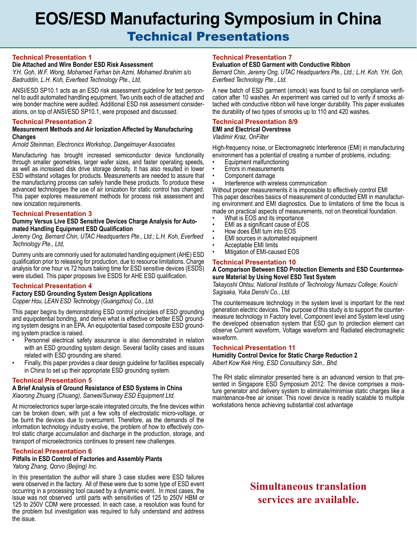# **EOS/ESD Manufacturing Symposium in China** Technical Presentations

### **Technical Presentation 1**

### **Die Attached and Wire Bonder ESD Risk Assessment**

*Y.H. Goh, W.F. Wong, Mohamed Farhan bin Azmi, Mohamed Ibrahim s/o Badruddin, L.H. Koh, Everfeed Technology Pte., Ltd,*

ANSI/ESD SP10.1 acts as an ESD risk assessment guideline for test person- nel to audit automated handling equipment. Two units each of die attached and wire bonder machine were audited. Additional ESD risk assessment considerations, on top of ANSI/ESD SP10.1, were proposed and discussed.

### **Technical Presentation 2**

### **Measurement Methods and Air Ionization Affected by Manufacturing Changes**

*Arnold Steinman, Electronics Workshop, Dangelmayer Associates*

Manufacturing has brought increased semiconductor device functionality through smaller geometries, larger wafer sizes, and faster operating speeds, as well as increased disk drive storage density. It has also resulted in lower ESD withstand voltages for products. Measurements are needed to assure that the manufacturing process can safely handle these products. To produce these advanced technologies the use of air ionization for static control has changed. This paper explores measurement methods for process risk assessment and new ionization requirements.

### **Technical Presentation 3**

### **Dummy Versus Live ESD Sensitive Devices Charge Analysis for Automated Handling Equipment ESD Qualification**

*Jeremy Ong, Bernard Chin, UTAC Headquarters Pte., Ltd.; L.H. Koh, Everfeed Technology Pte., Ltd,*

Dummy units are commonly used for automated handling equipment (AHE) ESD qualification prior to releasing for production, due to resource limitations. Charge analysis for one hour vs 72 hours baking time for ESD sensitive devices (ESDS) were studied. This paper proposes live ESDS for AHE ESD qualification.

### **Technical Presentation 4**

**Factory ESD Grounding System Design Applications**

*Copper Hou, LEAN ESD Technology (Guangzhou) Co., Ltd.*

This paper begins by demonstrating ESD control principles of ESD grounding and equipotential bonding, and derive what is effective or better ESD grounding system designs in an EPA. An equipotential based composite ESD grounding system practice is raised.

- Personnel electrical safety assurance is also demonstrated in relation with an ESD grounding system design. Several facility cases and issues related with ESD grounding are shared.
- Finally, this paper provides a clear design guideline for facilities especially in China to set up their appropriate ESD grounding system.

### **Technical Presentation 5**

### **A Brief Analysis of Ground Resistance of ESD Systems in China**

*Xiaorong Zhuang (Chuang), Sanwei/Sunway ESD Equipment Ltd.* 

At microelectronics super large-scale integrated circuits, the fine devices within can be broken down, with just a few volts of electrostatic micro-voltage, or be burnt the devices due to overcurrent. Therefore, as the demands of the information technology industry evolve, the problem of how to effectively control static charge accumulation and discharge in the production, storage, and transport of microelectronics continues to present new challenges.

### **Technical Presentation 6**

### **Pitfalls in ESD Control of Factories and Assembly Plants**

*Yalong Zhang, Qorvo (Beijing) Inc.*

In this presentation the author will share 3 case studies were ESD failures were observed in the factory. All of these were due to some type of ESD event occurring in a processing tool caused by a dynamic event. In most cases, the issue was not observed until parts with sensitivities of 125 to 250V HBM or 125 to 250V CDM were processed. In each case, a resolution was found for the problem but investigation was required to fully understand and address the issue.

### **Technical Presentation 7**

### **Evaluation of ESD Garment with Conductive Ribbon**

*Bernard Chin, Jeremy Ong, UTAC Headquarters Pte., Ltd.; L.H. Koh, Y.H. Goh, Everfeed Technology Pte., Ltd.*

A new batch of ESD garment (smock) was found to fail on compliance verifitached with conductive ribbon will have longer durability. This paper evaluates the durability of two types of smocks up to 110 and 420 washes.

#### **Technical Presentation 8/9 EMI and Electrical Overstress**

*Vladimir Kraz, OnFilter*

High-frequency noise, or Electromagnetic Interference (EMI) in manufacturing environment has a potential of creating a number of problems, including:

- Equipment malfunctioning
- Errors in measurements
- Component damage
- Interference with wireless communication

Without proper measurements it is impossible to effectively control EMI This paper describes basics of measurement of conducted EMI in manufacturing environment and EMI diagnostics. Due to limitations of time the focus is made on practical aspects of measurements, not on theoretical foundation.

- What is EOS and its importance
- EMI as a significant cause of EOS
- How does EMI turn into EOS
- EMI sources in automated equipment
- Acceptable EMI limits
- Mitigation of EMI-caused EOS

### **Technical Presentation 10**

#### **A Comparison Between ESD Protection Elements and ESD Countermeasure Material by Using Novel ESD Test System**

*Takayoshi Ohtsu, National Institute of Technology Numazu College; Kouichi Sagisaka, Yuka Denshi Co., Ltd.*

The countermeasure technology in the system level is important for the next generation electric devices. The purpose of this study is to support the countermeasure technology in Factory level, Component level and System level using the developed observation system that ESD gun to protection element can observe Current waveform, Voltage waveform and Radiated electromagnetic waveform.

### **Technical Presentation 11**

**Humidity Control Device for Static Charge Reduction 2** *Albert Kow Kek Hing, ESD Consultancy Sdn., Bhd.*

The RH static eliminator presented here is an advanced version to that presented in Singapore ESD Symposium 2012. The device comprises a moisture generator and delivery system to eliminate/minimise static charges like a maintenance-free air ioniser. This novel device is readily scalable to multiple workstations hence achieving substantial cost advantage

# **Simultaneous translation services are available.**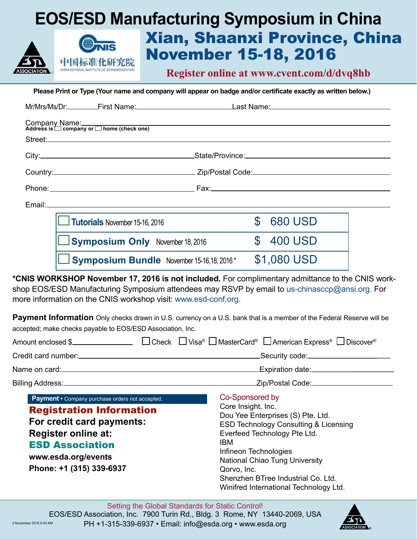# **EOS/ESD Manufacturing Symposium in China** Xian, Shaanxi Province, China November 15-18, 2016 中国标准化研究院

**Register online at www.cvent.com/d/dvq8hb**

**Please Print or Type (Your name and company will appear on badge and/or certificate exactly as written below.)**

| $\Box$ Tutorials November 15-16, 2016     | $\mathbb{S}$<br>680 USD |  |
|-------------------------------------------|-------------------------|--|
| $\Box$ Symposium Only November 18, 2016   | \$400 USD               |  |
| Symposium Bundle November 15-16,18, 2016* | \$1,080 USD             |  |

**\*CNIS WORKSHOP November 17, 2016 is not included.** For complimentary admittance to the CNIS workshop EOS/ESD Manufacturing Symposium attendees may RSVP by email to us-chinasccp@ansi.org. For more information on the CNIS workshop visit: www.esd-conf.org.

**Payment Information** Only checks drawn in U.S. currency on a U.S. bank that is a member of the Federal Reserve will be accepted; make checks payable to EOS/ESD Association, Inc.

|                                                                                                                                                                                                                            |                                                                                                                                                                                                                                                                                                                                        | _Security code:__________________________ |  |
|----------------------------------------------------------------------------------------------------------------------------------------------------------------------------------------------------------------------------|----------------------------------------------------------------------------------------------------------------------------------------------------------------------------------------------------------------------------------------------------------------------------------------------------------------------------------------|-------------------------------------------|--|
|                                                                                                                                                                                                                            |                                                                                                                                                                                                                                                                                                                                        |                                           |  |
|                                                                                                                                                                                                                            |                                                                                                                                                                                                                                                                                                                                        | _Zip/Postal Code:_______________________  |  |
| Payment • Company purchase orders not accepted.<br><b>Registration Information</b><br>For credit card payments:<br><b>Register online at:</b><br><b>ESD Association</b><br>www.esda.org/events<br>Phone: +1 (315) 339-6937 | Co-Sponsored by<br>Core Insight, Inc.<br>Dou Yee Enterprises (S) Pte. Ltd.<br><b>ESD Technology Consulting &amp; Licensing</b><br>Everfeed Technology Pte Ltd.<br>IBM<br>Infineon Technologies<br><b>National Chiao Tung University</b><br>Qorvo, Inc.<br>Shenzhen BTree Industrial Co. Ltd.<br>Winifred International Technology Ltd. |                                           |  |

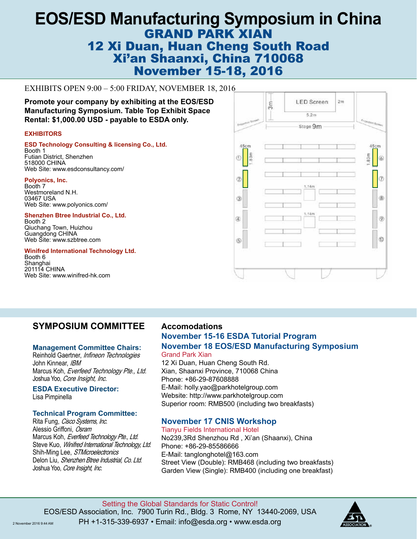# **EOS/ESD Manufacturing Symposium in China** GRAND PARK XIAN **12 Xi Duan, Huan Cheng South Road<br>
Yilon Sheemyi China Z40068** Xi'an Shaanxi, China 710068 Xi'an Shaanxi, China 7 10000<br>November 15-18, 2016

# EXHIBITS OPEN 9:00 – 5:00 FRIDAY, NOVEMBER 18, 2016

**Promote your company by exhibiting at the EOS/ESD Manufacturing Symposium. Table Top Exhibit Space Rental: \$1,000.00 USD - payable to ESDA only.**

### **EXHIBITORS**

**ESD Technology Consulting & licensing Co., Ltd.** Booth 1 Futian District, Shenzhen 518000 CHINA Web Site: www.esdconsultancy.com/

**Polyonics, Inc.** Booth 7 Westmoreland N.H. 03467 USA Web Site: www.polyonics.com/

**Promote your company by exhibiting at the**  Qiuchang Town, Huizhou **Shenzhen Btree Industrial Co., Ltd.** Booth 2

Guangdong CHINA<br>Web Site: www.szbtree.com **The Exhibit Space Rental:**  $\frac{1}{2}$ ,  $\frac{1}{2}$ ,  $\frac{1}{2}$ ,  $\frac{1}{2}$ ,  $\frac{1}{2}$ ,  $\frac{1}{2}$ ,  $\frac{1}{2}$ ,  $\frac{1}{2}$ ,  $\frac{1}{2}$ ,  $\frac{1}{2}$ ,  $\frac{1}{2}$ ,  $\frac{1}{2}$ ,  $\frac{1}{2}$ ,  $\frac{1}{2}$ ,  $\frac{1}{2}$ ,  $\frac{1}{2}$ ,  $\frac{1}{2}$ ,  $\frac{1}{2$ Guangdong CHINA

# **Winifred International Technology Ltd.**<br>Booth 6

Booth 6 Shanghai 201114 CHINA Web Site: www.winifred-hk.com



# **SYMPOSIUM COMMITTEE**

## **Management Committee Chairs:**

Reinhold Gaertner, Infineon Technologies John Kinnear, IBM Marcus Koh, Everfeed Technology Pte., Ltd. Joshua Yoo, Core Insight, Inc.

**ESDA Executive Director:** Lisa Pimpinella

## **Technical Program Committee:**

Rita Fung, Cisco Systems, Inc. Alessio Griffoni, Osram Marcus Koh, Everfeed Technology Pte., Ltd. Steve Kuo, Winifred International Technology, Ltd. Shih-Ming Lee, STMicroelectronics Delon Liu, Shenzhen Btree Industrial, Co. Ltd. Joshua Yoo, Core Insight, Inc.

# **ACCOMMODATIONS Accomodations**

# **November, 15-16 ESDA Tutorial Program November 15-16 ESDA Tutorial Program November, 18 EOS/ESD Manufacturing Symposium November 18 EOS/ESD Manufacturing Symposium** Grand Park Xian Grand Park Xian

12 Xi Duan, Huan Cheng South Rd. 12 Xi Duan, Huan Cheng South Rd. Xi Duan, Fiuan Orieng Obum Ru.<br>Cheese Province, 710068 China Xian, Shaanxi Province, 710068 China<br>Di E-Mail: tegan.zhang@parkhotelgroup.com Phone: +86-29-87608888 E-Mail: holly.yao@parkhotelgroup.com<br>... Superior room: RMB500 (including two breakfasts). Website: http://www.parkhotelgroup.com

# **November, 17 CNIS WORKSHOP November 17 CNIS Workshop**

## Tianyu Fields International Hotel Tianyu Fields International Hotel

No239,3Rd Shenzhou Rd, Xi'an (Shaanxi), China Phone: +86-29-85586666 E-Mail: tanglonghotel@163.com Street View (Double): RMB468 (including two breakfasts) Room rate: Street View (Double): 468 RMB / day (including two breakfasts). Garden View (Single): RMB400 (including one breakfast)

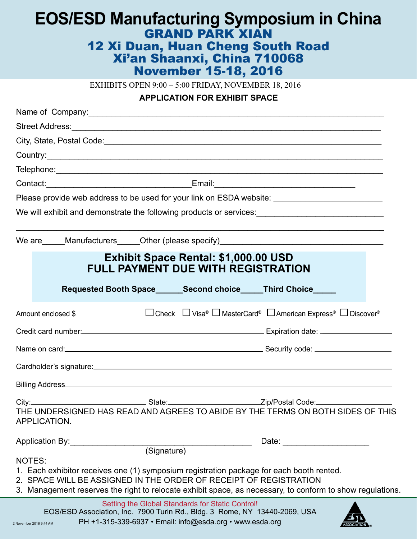# **EOS/ESD Manufacturing Symposium in China** GRAND PARK XIAN GRAND PARK XIAN 12 Xi Duan, Huan Cheng South Road 12 Xi Duan, Huan Cheng South Road Xi'an Shaanxi, China 710068 Xi'an Shaanxi, China 710068 **EXHIBITS OPEN 9:00 – 5:00 FRIDAY, NOVEMBER 18, 2016 EOS/ESD Manufacturing Symposium in China** November 15-18, 2016

## **APPLICATION FOR EXHIBIT SPACE**

| Please provide web address to be used for your link on ESDA website: _______________________________                                                                                                                                                                                                                                     |  |  |  |  |
|------------------------------------------------------------------------------------------------------------------------------------------------------------------------------------------------------------------------------------------------------------------------------------------------------------------------------------------|--|--|--|--|
|                                                                                                                                                                                                                                                                                                                                          |  |  |  |  |
| We are Manufacturers Other (please specify) Measurem Manufacturers Control Control of the Manufacturers Control of the Manufacturers Control of the Manufacturers Control of the Manufacturers Control of the Manufacturers Co                                                                                                           |  |  |  |  |
| Exhibit Space Rental: \$1,000.00 USD<br>FULL PAYMENT DUE WITH REGISTRATION                                                                                                                                                                                                                                                               |  |  |  |  |
| Requested Booth Space______Second choice_____Third Choice_____                                                                                                                                                                                                                                                                           |  |  |  |  |
|                                                                                                                                                                                                                                                                                                                                          |  |  |  |  |
|                                                                                                                                                                                                                                                                                                                                          |  |  |  |  |
| Name on card: <u>contract and contract and contract and contract and contract and contract and contract and contract and contract and contract and contract and contract and contract and contract and contract and contract and</u>                                                                                                     |  |  |  |  |
|                                                                                                                                                                                                                                                                                                                                          |  |  |  |  |
|                                                                                                                                                                                                                                                                                                                                          |  |  |  |  |
| APPLICATION.                                                                                                                                                                                                                                                                                                                             |  |  |  |  |
| Application By: (Signature)                                                                                                                                                                                                                                                                                                              |  |  |  |  |
| NOTES:<br>1. Each exhibitor receives one (1) symposium registration package for each booth rented.<br>2. SPACE WILL BE ASSIGNED IN THE ORDER OF RECEIPT OF REGISTRATION<br>3. Management reserves the right to relocate exhibit space, as necessary, to conform to show regulations.<br>Setting the Global Standards for Static Control! |  |  |  |  |
| EOS/ESD Association, Inc. 7900 Turin Rd., Bldg. 3 Rome, NY 13440-2069, USA                                                                                                                                                                                                                                                               |  |  |  |  |